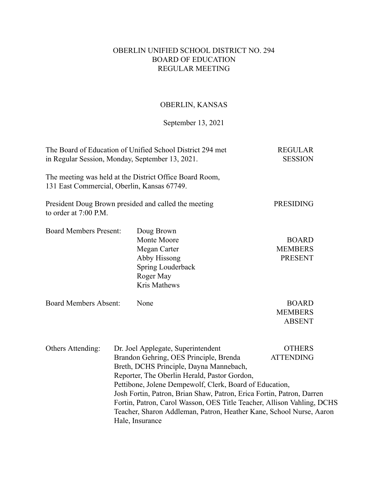# OBERLIN UNIFIED SCHOOL DISTRICT NO. 294 BOARD OF EDUCATION REGULAR MEETING

# OBERLIN, KANSAS

## September 13, 2021

| The Board of Education of Unified School District 294 met<br>in Regular Session, Monday, September 13, 2021. | <b>REGULAR</b><br><b>SESSION</b>                                                                                                                                                                                                                                                                                                                                                                                                                                                |                                                  |
|--------------------------------------------------------------------------------------------------------------|---------------------------------------------------------------------------------------------------------------------------------------------------------------------------------------------------------------------------------------------------------------------------------------------------------------------------------------------------------------------------------------------------------------------------------------------------------------------------------|--------------------------------------------------|
|                                                                                                              | The meeting was held at the District Office Board Room,<br>131 East Commercial, Oberlin, Kansas 67749.                                                                                                                                                                                                                                                                                                                                                                          |                                                  |
| to order at 7:00 P.M.                                                                                        | President Doug Brown presided and called the meeting                                                                                                                                                                                                                                                                                                                                                                                                                            | <b>PRESIDING</b>                                 |
| <b>Board Members Present:</b>                                                                                | Doug Brown<br>Monte Moore<br>Megan Carter<br>Abby Hissong<br>Spring Louderback<br>Roger May<br>Kris Mathews                                                                                                                                                                                                                                                                                                                                                                     | <b>BOARD</b><br><b>MEMBERS</b><br><b>PRESENT</b> |
| <b>Board Members Absent:</b>                                                                                 | None                                                                                                                                                                                                                                                                                                                                                                                                                                                                            | <b>BOARD</b><br><b>MEMBERS</b><br><b>ABSENT</b>  |
| Others Attending:                                                                                            | Dr. Joel Applegate, Superintendent<br>Brandon Gehring, OES Principle, Brenda<br>Breth, DCHS Principle, Dayna Mannebach,<br>Reporter, The Oberlin Herald, Pastor Gordon,<br>Pettibone, Jolene Dempewolf, Clerk, Board of Education,<br>Josh Fortin, Patron, Brian Shaw, Patron, Erica Fortin, Patron, Darren<br>Fortin, Patron, Carol Wasson, OES Title Teacher, Allison Vahling, DCHS<br>Teacher, Sharon Addleman, Patron, Heather Kane, School Nurse, Aaron<br>Hale, Insurance | <b>OTHERS</b><br><b>ATTENDING</b>                |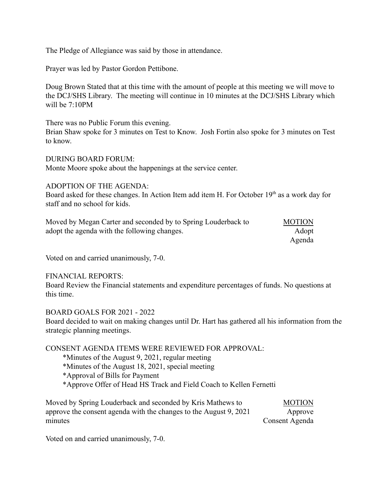The Pledge of Allegiance was said by those in attendance.

Prayer was led by Pastor Gordon Pettibone.

Doug Brown Stated that at this time with the amount of people at this meeting we will move to the DCJ/SHS Library. The meeting will continue in 10 minutes at the DCJ/SHS Library which will be 7:10PM

There was no Public Forum this evening.

Brian Shaw spoke for 3 minutes on Test to Know. Josh Fortin also spoke for 3 minutes on Test to know.

DURING BOARD FORUM:

Monte Moore spoke about the happenings at the service center.

## ADOPTION OF THE AGENDA:

Board asked for these changes. In Action Item add item H. For October 19<sup>th</sup> as a work day for staff and no school for kids.

| Moved by Megan Carter and seconded by to Spring Louderback to | <b>MOTION</b> |
|---------------------------------------------------------------|---------------|
| adopt the agenda with the following changes.                  | Adopt         |
|                                                               | Agenda        |

Voted on and carried unanimously, 7-0.

## FINANCIAL REPORTS:

Board Review the Financial statements and expenditure percentages of funds. No questions at this time.

## BOARD GOALS FOR 2021 - 2022

Board decided to wait on making changes until Dr. Hart has gathered all his information from the strategic planning meetings.

CONSENT AGENDA ITEMS WERE REVIEWED FOR APPROVAL:

\*Minutes of the August 9, 2021, regular meeting

- \*Minutes of the August 18, 2021, special meeting
- \*Approval of Bills for Payment
- \*Approve Offer of Head HS Track and Field Coach to Kellen Fernetti

Moved by Spring Louderback and seconded by Kris Mathews to MOTION approve the consent agenda with the changes to the August 9, 2021 Approve minutes Consent Agenda

Voted on and carried unanimously, 7-0.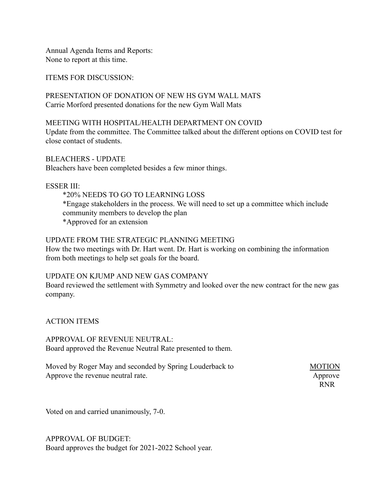Annual Agenda Items and Reports: None to report at this time.

ITEMS FOR DISCUSSION:

PRESENTATION OF DONATION OF NEW HS GYM WALL MATS Carrie Morford presented donations for the new Gym Wall Mats

## MEETING WITH HOSPITAL/HEALTH DEPARTMENT ON COVID

Update from the committee. The Committee talked about the different options on COVID test for close contact of students.

## BLEACHERS - UPDATE

Bleachers have been completed besides a few minor things.

### ESSER III:

#### \*20% NEEDS TO GO TO LEARNING LOSS

\*Engage stakeholders in the process. We will need to set up a committee which include community members to develop the plan \*Approved for an extension

## UPDATE FROM THE STRATEGIC PLANNING MEETING

How the two meetings with Dr. Hart went. Dr. Hart is working on combining the information from both meetings to help set goals for the board.

#### UPDATE ON KJUMP AND NEW GAS COMPANY

Board reviewed the settlement with Symmetry and looked over the new contract for the new gas company.

## ACTION ITEMS

APPROVAL OF REVENUE NEUTRAL: Board approved the Revenue Neutral Rate presented to them.

Moved by Roger May and seconded by Spring Louderback to MOTION Approve the revenue neutral rate. Approve  $\lambda$ 

RNR

Voted on and carried unanimously, 7-0.

APPROVAL OF BUDGET: Board approves the budget for 2021-2022 School year.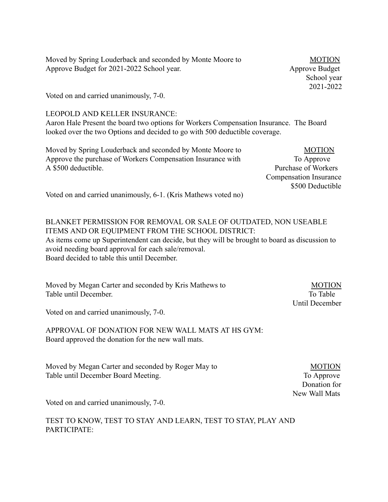Moved by Spring Louderback and seconded by Monte Moore to MOTION Approve Budget for 2021-2022 School year. Approve Budget Approve Budget

Voted on and carried unanimously, 7-0.

LEOPOLD AND KELLER INSURANCE:

Aaron Hale Present the board two options for Workers Compensation Insurance. The Board looked over the two Options and decided to go with 500 deductible coverage.

Moved by Spring Louderback and seconded by Monte Moore to MOTION Approve the purchase of Workers Compensation Insurance with To Approve A \$500 deductible. Purchase of Workers

Compensation Insurance \$500 Deductible

Voted on and carried unanimously, 6-1. (Kris Mathews voted no)

BLANKET PERMISSION FOR REMOVAL OR SALE OF OUTDATED, NON USEABLE ITEMS AND OR EQUIPMENT FROM THE SCHOOL DISTRICT: As items come up Superintendent can decide, but they will be brought to board as discussion to avoid needing board approval for each sale/removal. Board decided to table this until December.

Moved by Megan Carter and seconded by Kris Mathews to MOTION Table until December. To Table

Until December

Voted on and carried unanimously, 7-0.

APPROVAL OF DONATION FOR NEW WALL MATS AT HS GYM: Board approved the donation for the new wall mats.

Moved by Megan Carter and seconded by Roger May to MOTION Table until December Board Meeting. To Approve

Donation for New Wall Mats

Voted on and carried unanimously, 7-0.

TEST TO KNOW, TEST TO STAY AND LEARN, TEST TO STAY, PLAY AND PARTICIPATE:

School year 2021-2022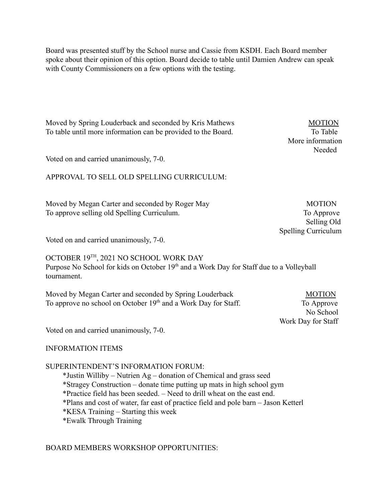Board was presented stuff by the School nurse and Cassie from KSDH. Each Board member spoke about their opinion of this option. Board decide to table until Damien Andrew can speak with County Commissioners on a few options with the testing.

Moved by Spring Louderback and seconded by Kris Mathews MOTION To table until more information can be provided to the Board. To Table

Voted on and carried unanimously, 7-0.

### APPROVAL TO SELL OLD SPELLING CURRICULUM:

Moved by Megan Carter and seconded by Roger May MOTION To approve selling old Spelling Curriculum. To Approve

Selling Old Spelling Curriculum

More information

Needed

Voted on and carried unanimously, 7-0.

OCTOBER 19<sup>TH</sup>, 2021 NO SCHOOL WORK DAY Purpose No School for kids on October 19<sup>th</sup> and a Work Day for Staff due to a Volleyball tournament.

| Moved by Megan Carter and seconded by Spring Louderback                    | <b>MOTION</b> |
|----------------------------------------------------------------------------|---------------|
| To approve no school on October 19 <sup>th</sup> and a Work Day for Staff. | To Approve    |

To Approve No School Work Day for Staff

Voted on and carried unanimously, 7-0.

#### INFORMATION ITEMS

#### SUPERINTENDENT'S INFORMATION FORUM:

\*Justin Williby – Nutrien Ag – donation of Chemical and grass seed \*Stragey Construction – donate time putting up mats in high school gym \*Practice field has been seeded. – Need to drill wheat on the east end. \*Plans and cost of water, far east of practice field and pole barn – Jason Ketterl \*KESA Training – Starting this week \*Ewalk Through Training

#### BOARD MEMBERS WORKSHOP OPPORTUNITIES: